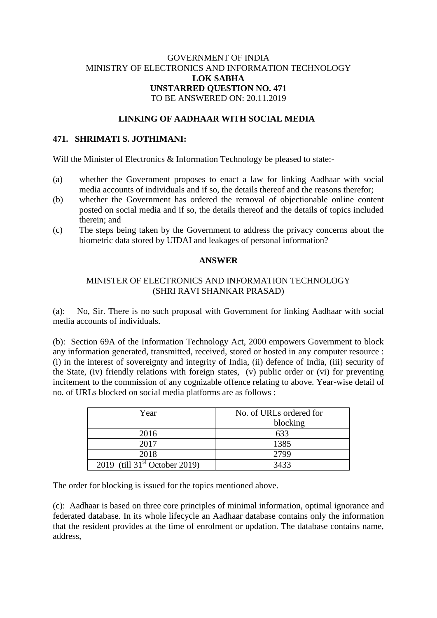# GOVERNMENT OF INDIA MINISTRY OF ELECTRONICS AND INFORMATION TECHNOLOGY **LOK SABHA UNSTARRED QUESTION NO. 471** TO BE ANSWERED ON: 20.11.2019

### **LINKING OF AADHAAR WITH SOCIAL MEDIA**

#### **471. SHRIMATI S. JOTHIMANI:**

Will the Minister of Electronics & Information Technology be pleased to state:-

- (a) whether the Government proposes to enact a law for linking Aadhaar with social media accounts of individuals and if so, the details thereof and the reasons therefor;
- (b) whether the Government has ordered the removal of objectionable online content posted on social media and if so, the details thereof and the details of topics included therein; and
- (c) The steps being taken by the Government to address the privacy concerns about the biometric data stored by UIDAI and leakages of personal information?

### **ANSWER**

# MINISTER OF ELECTRONICS AND INFORMATION TECHNOLOGY (SHRI RAVI SHANKAR PRASAD)

(a): No, Sir. There is no such proposal with Government for linking Aadhaar with social media accounts of individuals.

(b): Section 69A of the Information Technology Act, 2000 empowers Government to block any information generated, transmitted, received, stored or hosted in any computer resource : (i) in the interest of sovereignty and integrity of India, (ii) defence of India, (iii) security of the State, (iv) friendly relations with foreign states, (v) public order or (vi) for preventing incitement to the commission of any cognizable offence relating to above. Year-wise detail of no. of URLs blocked on social media platforms are as follows :

| Year                                      | No. of URLs ordered for |
|-------------------------------------------|-------------------------|
|                                           | blocking                |
| 2016                                      | 633                     |
| 2017                                      | 1385                    |
| 2018                                      | 2799                    |
| 2019 (till $31^{\text{st}}$ October 2019) | 3433                    |

The order for blocking is issued for the topics mentioned above.

(c): Aadhaar is based on three core principles of minimal information, optimal ignorance and federated database. In its whole lifecycle an Aadhaar database contains only the information that the resident provides at the time of enrolment or updation. The database contains name, address,